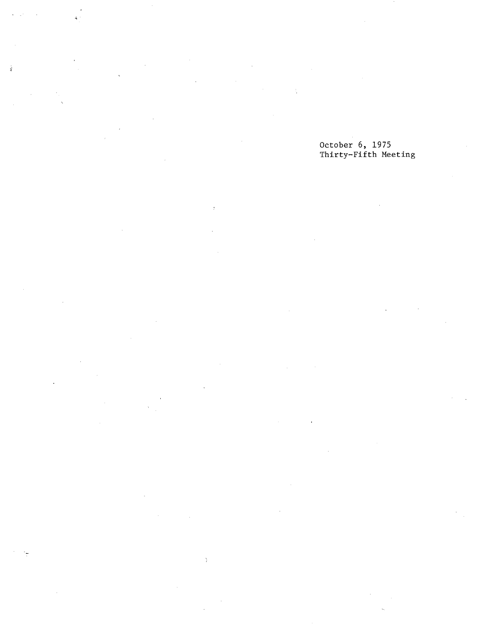$\ddot{ }$ 

 $\frac{1}{4}$ 

 $\frac{1}{2}$ 

 $\bar{\chi}$ 

### October 6, 1975 Thirty-Fifth Meeting

 $\overline{\phantom{a}}$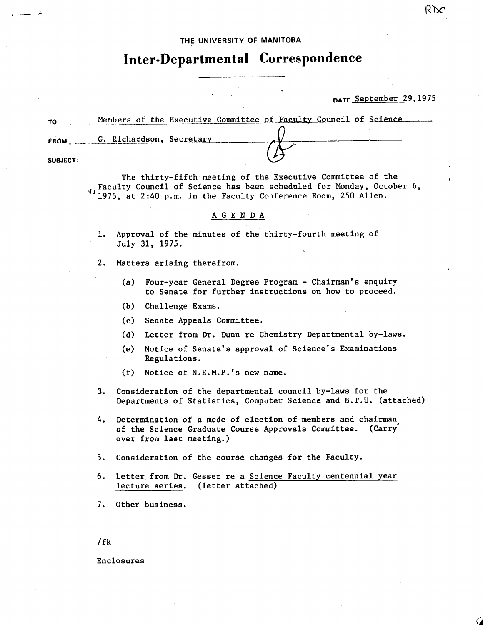#### **THE UNIVERSITY OF MANITOBA**

# **Inter-Departmental Correspondence**

## DATE September 29,1975

| TO       | Members of the Executive Committee of Faculty Council of Science |  |  |  |  |
|----------|------------------------------------------------------------------|--|--|--|--|
| FROM     | G. Richardson, Secretary                                         |  |  |  |  |
|          |                                                                  |  |  |  |  |
| SUBJECT: |                                                                  |  |  |  |  |

The thirty-fifth meeting of the Executive Committee of the 4 Faculty Council of Science has been scheduled for Monday, October 6, 1975, at 2:40 p.m. in the Faculty Conference Room, 250 Allen.

### A G E N D A

- 1. Approval of the minutes of the thirty-fourth meeting of July 31, 1975.
- 2. Matters arising therefrom.
	- $(a)$ Four-year General Degree Program - Chairman's enquiry to Senate for further instructions on how to proceed.
	- $(b)$ Challenge Exams.
	- (c) Senate Appeals Committee.
	- Letter from Dr. Dunn re Chemistry Departmental by-laws.  $(d)$
	- $(e)$ Notice of Senate's approval of Science's Examinations Regulations.
	- Notice of N.E.M.P.'s new name.  $(f)$
- 3. Consideration of the departmental council by-laws for the Departments of Statistics, Computer Science and B.T.U. (attached)
- 4. Determination of a mode of election of members and chairman of the Science Graduate Course Approvals Committee. (Carry over from last meeting.)
- 5. Consideration of the course changes for the Faculty.
- 6. Letter from Dr. Gesser re a Science Faculty centennial year lecture series. (letter attached)
- 7. Other business.

/ fk

Enclosures

R1c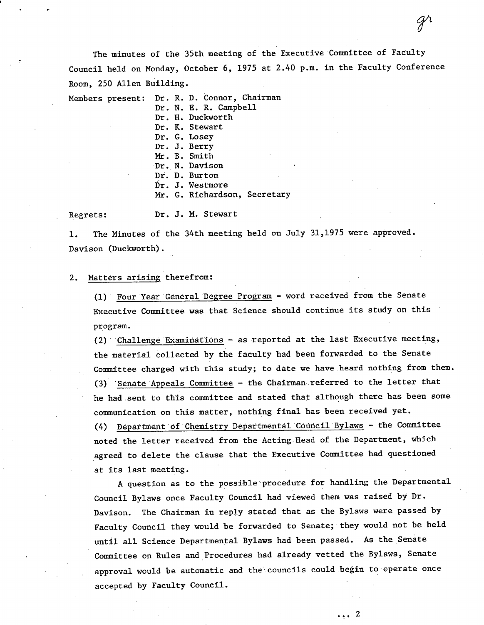The minutes of the 35th meeting of the Executive Committee of Faculty Council held on Monday, October 6, 1975 at 2.40 p.m. in the Faculty Conference Room, 250 Allen Building.

 $\mathscr{Y}^{\iota}$ 

Members present: Dr. R. D. Connor, Chairman

Dr. N. E. R. Campbell Dr. H. Duckworth Dr. K. Stewart Dr. G. Losey Dr. J. Berry Mr. B. Smith Dr. N. Davison Dr. D. Burton Dr. J. Wèstmore Mr. G. Richardson, Secretary

Regrets: Dr. J. M. Stewart

The Minutes of the 34th meeting held on July 31,1975 were approved.  $1.$ Davison (Duckworth).

#### Matters arising therefrom:  $2.$

FOur Year General Degree Program - word received from the Senate Executive Committee was that Science should continue its study on this program.

 $(2)$  Challenge Examinations - as reported at the last Executive meeting, the material collected by the faculty had been forwarded to the Senate Committee charged with this study; to date we have heard nothing from them.  $(3)$  Senate Appeals Committee - the Chairman referred to the letter that he had sent to this committee and stated that although there has been some communication on this matter, nothing final has been received yet. Department of'Chemistry Departmental Council Bylaws - the Committee noted the letter received from the Acting Head of the Department, which agreed to delete the clause that the Executive Committee had questioned at its last meeting.

A question as to the possible procedure for handling the Departmental Council Bylaws once Faculty Council had viewed them was raised by Dr. Davison. The Chairman in reply stated that as the Bylaws were passed by Faculty Council they would be forwarded to Senate; they would not be held until all Science Departmental Bylaws had been passed. As the Senate Committee on Rules and Procedures had already vetted the Bylaws, Senate approval would be automatic and the councils could begin to operate once accepted by Faculty Council.

., 2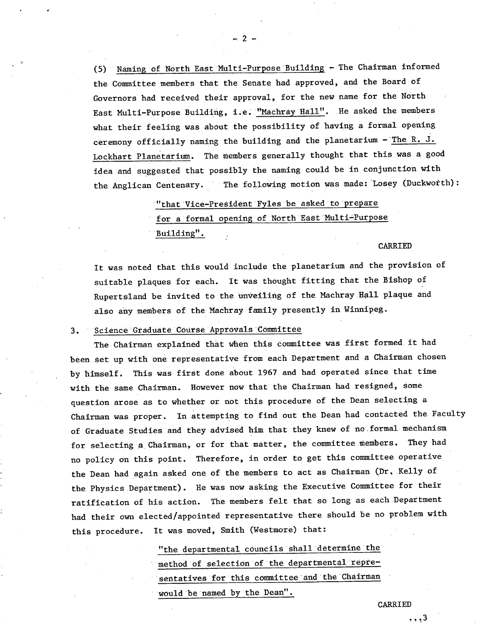(5) Naming of North East Multi-Purpose Building  $-$  The Chairman informed the Committee members that the Senate had approved, and the Board of Governors had received their approval, for the new name for the North East Multi-Purpose Building, i.e. "Machray Hall". He asked the members what their feeling was about the possibility of having a formal opening ceremony officially naming the building and the planetarium  $-$  The R. J. Lockhart Planetatium. The members generally thought that this was a good idea and suggested that possibly the naming could be in conjunction with the Anglican Centenary. The following motion was made: Losey (Duckwotth):

> "that Vice-President Fyles be asked to prepare for a formal opening of North East Multi-Purpose

Building".

#### CARRIED

It was noted that this would include the planetarium and the provision of suitable plaques for each. It was thought fitting that the Bishop of Rupertsland be invited to the unveiling of the Machray Hall plaque and also any members of the Machray family presently in Winnipeg.

## 3. Science Graduate Course Approvals Committee

The Chairman explained that when this committee was first formed. it had been set up with one representative from each Department and a Chairman chosen by himself. This was first done about 1967 and had operated since that time with the same Chairman. However now that the Chairman had resigned, some question arose as to whether or not this procedure of the Dean selecting a Chairman was proper. In attempting to find out the Dean had contacted the Faculty of Graduate Studies and they advised him that they knew of no'. formal mechanism for selecting a Chairman, or for that matter, the committee members. They had no policy on this point. Therefore, in order to get this committee operative the Dean had again asked one of the members to act as Chairman (Dr. Kelly of the Physics Department). He was now asking the Executive Committee for their ratification of his action. The members felt that so long as each Department had their own elected/appointed representative there should be no problem with this procedure. It was moved, Smith (Westmore) that:

> "the departmental councils shall determine the method of selection of the departmental representatives for this committee and the Chairman would be named by the Dean".

> > CARRIED

 $, 1, 3$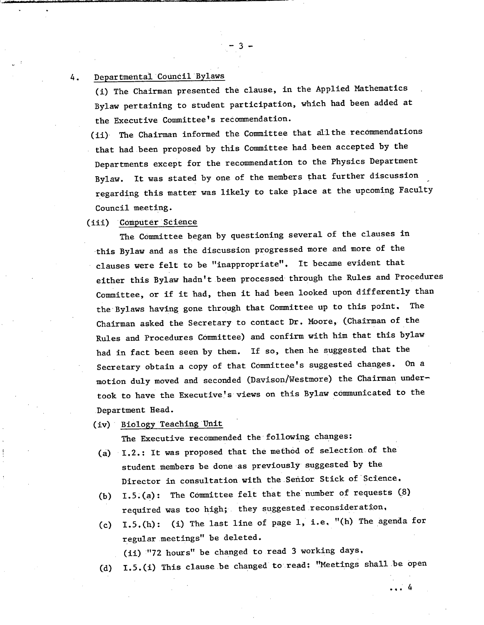## 4. Departmental Council Bylaws

(i) The Chairman presented the clause, in the Applied Mathematics Bylaw pertaining to student participation, which had been added at the Executive Committee's reëommendation.

 $-3-$ 

(ii) The Chairman informed the Committee that all the recommendations that had been proposed by this Committee had been accepted by the Departments except for the recommendation to the Physics Department Bylaw. It was stated by one of the members that further discussion regarding this matter was likely to take place at the upcoming Faculty Council meeting.

#### (iii) Computer Science

The Committee began by questioning several of the clauses in this Bylaw and as the discussion progressed more and more of the clauses were felt to be "inappropriate". It became evident that either this Bylaw hadn't been processed' through the Rules and Procedures Committee, or if it had, then It had been looked upon differently than the'Bylaws having gone through that Committee up to this point. The Chairman asked the Secretary to contact Dr. Moore, (Chairman of the Rules and Procedures Committee) and confirm with him that this bylaw had in fact been seen by them. if so, then he suggested that the Secretary obtain a copy of that Committee's suggested changes. On a motion duly moved and seconded (Davison/Westmore) the Chairman undertook to have the Executive's views on this Bylaw communicated to the Department Head.

(iv) Biology Teaching Unit

The Executive recommended the following changes:

- (a) I.2.: It was proposed that the method of selection of the student members be done as previously suggested by the Director in consultation with the Senior Stick of Science.
- I.5.(a): The Committee felt that the number of requests (8) required was too high; they suggested reconsideration.
- (c)  $I.5.(h):$  (i) The last line of page 1, i.e. "(h) The agenda for regular meetings" be deleted.

(ii) '"72 hours" be changed to read 3 working days.

(d) I.5.(i) This clause be changed to read: "Meetings shall be open

... 4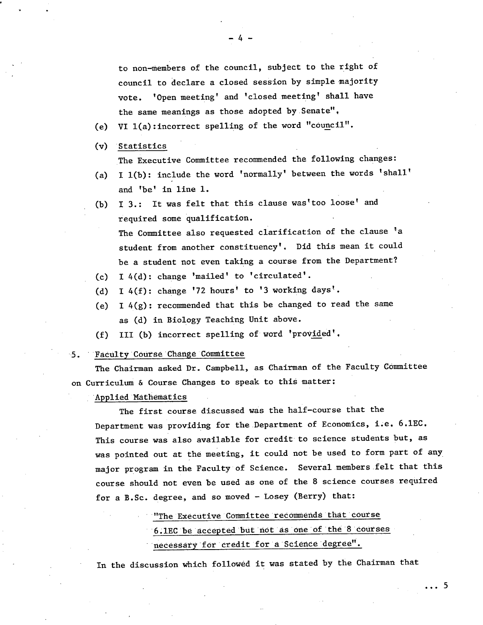to non-members of the council, subject to the right of council to declare a closed session by simple majority vote. 'Open meeting' and 'closed meeting' shall have the same meanings as those adopted by Senate".

(e) VI l(a):incorrect spelling of the word "council".

(v) Statistics

The Executive Committee recommended the following changes:

- I 1(b): include the word 'normally' between the words 'shall'  $(a)$ and 'be' in line 1.
- I 3.: It was felt that this clause was'too loose' and  $(b)$ required some qualification. The Committee also requested clarification of the clause 'a student from another constituency'. Did this mean it could be a student not even taking a course from the Department?
- I 4(d): change 'mailed' to 'circulated'.
- (d) I  $4(f)$ : change '72 hours' to '3 working days'.
- (e) I  $4(g)$ : recommended that this be changed to read the same as (d) in Biology Teaching Unit above.
- III (b) incorrect spelling of word 'provided'.  $(f)$

#### 5. ' Faculty Course 'Change COmmittee

The Chairman asked Dr. Campbell, as Chairman of the Faculty Committee on Curriculum & Course Changes to speak to this matter:

'Applied Mathematics

The first course discussed was the half-course that the Department was providing for the Department of Economics, i.e. 6,1EC. This course was also available for credit to science students but, as was pointed out at the meeting, it could not be used to form part of any major program in the Faculty of Science. Several.members.felt that this course should not even be used as one of the 8 science courses required for a B.Sc. degree, and so moved - Losey (Berry) that:

"The Executive Committee recommends that course

6.1EC be accepted but not as one of the 8 courses

... 5

necessary for credit for a Science degree".

In the discussion which followed it was stated by the Chairman that

 $-4-$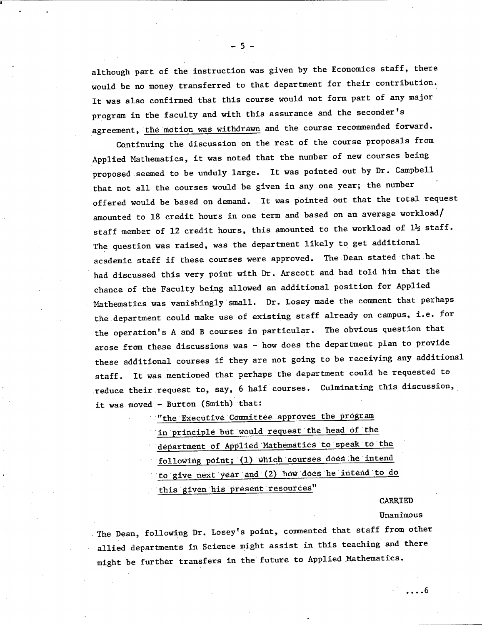although part of the instruction was given by the Economics staff, there would be no money transferred to that department for their contribution. It was also confirmed that this course would not form part of any major program in the faculty and with this assurance and the seconder's agreement, the motion was withdrawn and the course recommended forward.

Continuing the discussion on the rest of the course proposals from Applied Mathematics, it was noted that the number of new courses being proposed seemed to be unduly large. It was pointed out by Dr. Campbell that not all the courses would be given in any one year; the number offered would be based on demand. It was pointed out that the total request amounted to 18 credit hours in one term and based on an average workload/ staff member of 12 credit hours, this amounted to the workload of  $1\frac{1}{2}$  staff. The question was raised, was the department likely to get additional academic staff if these courses were approved. The Dean stated that he had discussed this very point with Dr. Arscott and had told him that the chance of the Faculty being allowed an additional position for Applied Mathematics was vanishingly small. Dr. Losey made the comment that perhaps the department could make use of existing staff already on campus, i.e. for the operation's A and B courses in particular. The obvious question that arose from these discussions was - how does the department plan to provide these additional courses if they are not going to be receiving any additional staff. It was mentioned that perhaps the department could be requested to reduce their request to, say, 6 half courses. Culminating this discussion, it was moved - Burton (Smith) •that:

"the Executive Committee approves the program

in principle but would request the head of the

department of Applied Mathematics to speak to the

following point; (1) which courses does he intend

to give next year and (2) how does he intend to do

this given his present resources"

CARRIED

Unanimous

. . . . 6

The Dean, following Dr. Losey's point, commented that staff from other allied departments in Science might assist in this teaching and there might be further transfers in the future to Applied Mathematics,

-5-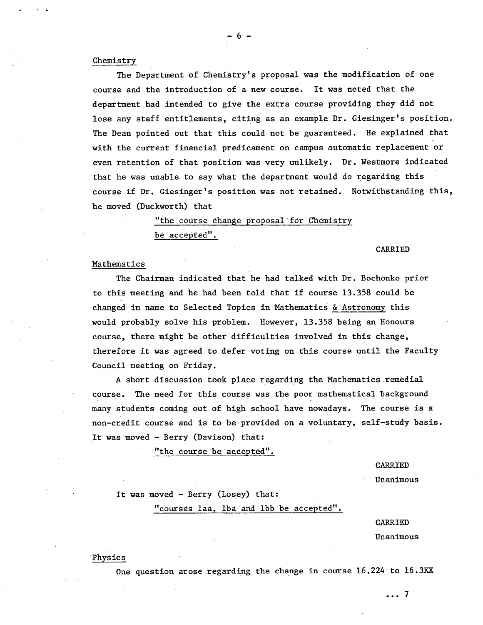#### Chemistry

The Department of Chemistry's proposal was the modification of one course and the introduction of a new course. It was noted that the department had intended to give the extra course providing they did not lose any staff entitlements, citing as an example.Dr. Giesinger's position. The Dean pointed out that this could not be guaranteed. He explained that with the current financial predicament on campus automatic replacement or even retention of that position was very unlikely. Dr. Westmore indicated that he was unable to say what the department would do regarding this course if Dr, Giesinger's position was not retained. Notwithstanding this, he moved (Duckworth) that

"the course change proposal for Chemistry

be accepted".

#### CARRIED

#### Mathematics

The Chairman indicated that he had talked with Dr. Bochonko prior to this meeting and he had been told that if course 13.358 could be changed in name to Selected Topics in Mathematics  $\delta$  Astronomy this would probably solve his problem. However, 13.358 being an Honours course, there might be other difficulties involved in this change, therefore it was agreed to defer voting on this course until the Faculty Council meeting on Friday.

A short discussion took place regarding the Mathematics remedial course. The need for this course was the poor mathematical background many students coming out of high school have nowadays. The course is a non-credit course and is to be provided on a voluntary, self-study basis. It was moved - Berry (Davison) that:

"the course be accepted".

CARRIED

Unanimous

It was moved - Berry (Losey) that:

"courses laa, iba and lbb be accepted".

#### CARRIED

Unanimous

...7

Physics

One question arose regarding the change in course 16,224 to 16.3XX

-6-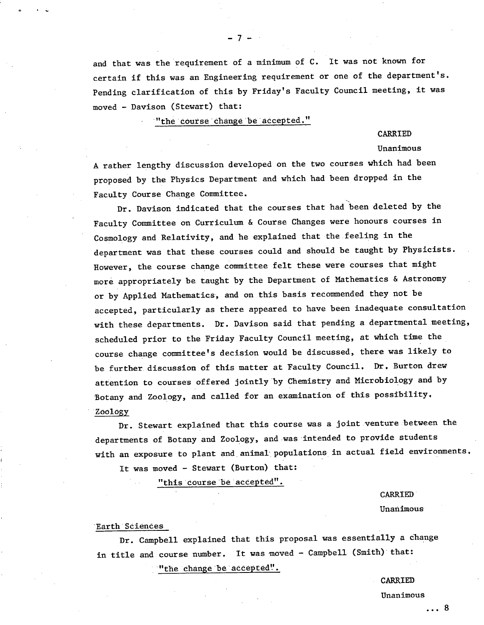and that was the requirement of a minimum of C. It was not known for certain if this was an Engineering requirement or one of the department's. Pending clarification of this by Friday's Faculty Council meeting, it was moved - Davison (Stewart) that:

"the course change be accepted."

#### CARRIED

#### Unanimous

A rather lengthy discussion developed on the two courses which had been proposed by the Physics Department and which had been dropped in the Faculty Course Change Committee.

Dr. Davison indicated that the courses that had been deleted by the Faculty Committee on Curriculum & Course Changes were honours courses in Cosmology and Relativity, and he explained that the feeling in the department was that these courses could and should be taught by Physicists. However, the course change committee felt these were courses that might more appropriately be taught by the Department of Mathematics & Astronomy or by Applied Mathematics', and on this basis recommended they not be accepted, particularly as there appeared to have been inadequate consultation with these departments. Dr. Davison said that pending a departmental meeting, scheduled prior to the Friday Faculty Council meeting, at which time the course change committee's decision would be discussed, there was likely to be further, discussion of this matter at Faculty Council, Dr. Burton drew attention to courses offered jointly'by Chemistry and Microbiology and by Botany and Zoology, and called for an examination of this possibility. Zoology

Dr. Stewart explained that this course was a joint venture between the departments of Botany and Zoology, and was 'intended to provide students with an exposure to plant and animal populations in actual field environments.

It was moved - Stewart (Burton) that:

"this course be accepted".

CARRIED

Unanimous

#### Earth Sciences

Dr. Campbell explained that this proposal was essentially a change in title and course number. It was moved - Campbell (Smith) that:

"the change be accepted".

CARRIED

Unanimous

 $-7-$